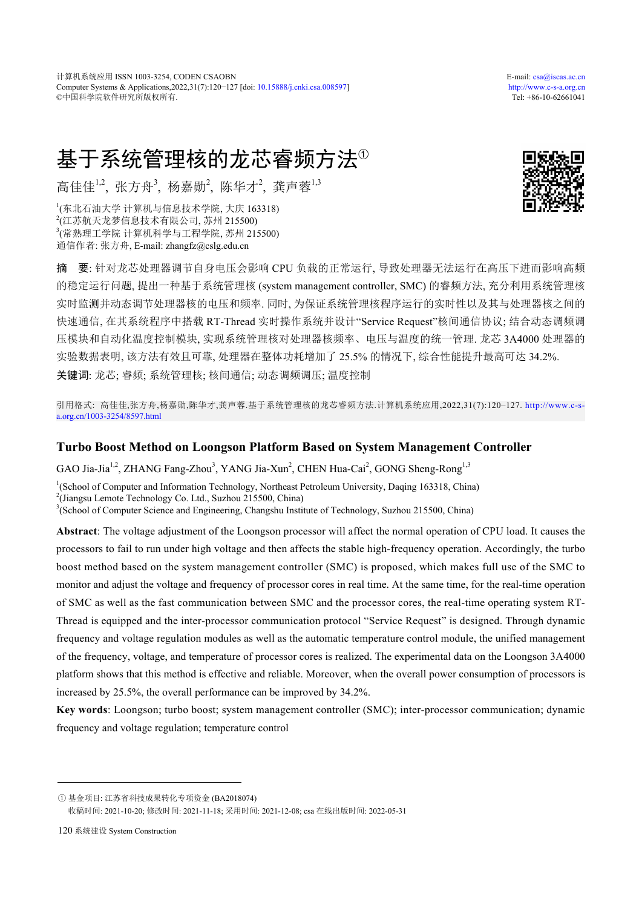计算机系统应用 ISSN 1003-3254, CODEN CSAOBN E-mail: [csa@iscas.ac.cn](mailto:cas@iscas.ac.cn) Computer Systems & Applications,2022,31(7):120−127 [doi: [10.15888/j.cnki.csa.008597\]](http://dx.doi.org/10.15888/j.cnki.csa.008597) <http://www.c-s-a.org.cn> ©中国科学院软件研究所版权所有. Tel: +86-10-62661041

# 基于系统管理核的龙芯睿频方法<sup>①</sup>

高佳佳<sup>1,2</sup>, 张方舟<sup>3</sup>, 杨嘉勋<sup>2</sup>, 陈华才<sup>2</sup>, 龚声蓉<sup>1,3</sup>

 (东北石油大学 计算机与信息技术学院, 大庆 163318) (江苏航天龙梦信息技术有限公司, 苏州 215500) (常熟理工学院 计算机科学与工程学院, 苏州 215500) 通信作者: 张方舟, E-mail: zhangfz@cslg.edu.cn



摘 要: 针对龙芯处理器调节自身电压会影响 CPU 负载的正常运行, 导致处理器无法运行在高压下进而影响高频 的稳定运行问题, 提出一种基于系统管理核 (system management controller, SMC) 的睿频方法, 充分利用系统管理核 实时监测并动态调节处理器核的电压和频率. 同时, 为保证系统管理核程序运行的实时性以及其与处理器核之间的 快速通信, 在其系统程序中搭载 RT-Thread 实时操作系统并设计"Service Request"核间通信协议; 结合动态调频调 压模块和自动化温度控制模块, 实现系统管理核对处理器核频率、电压与温度的统一管理. 龙芯 3A4000 处理器的 实验数据表明, 该方法有效且可靠, 处理器在整体功耗增加了 25.5% 的情况下, 综合性能提升最高可达 34.2%. 关键词: 龙芯; 睿频; 系统管理核; 核间通信; 动态调频调压; 温度控制

引用格式: 高佳佳,张方舟,杨嘉勋,陈华才,龚声蓉.基于系统管理核的龙芯睿频方法.计算机系统应用,2022,31(7):120–127. [http://www.c-s](http://www.c-s-a.org.cn/1003-3254/8597.html)[a.org.cn/1003-3254/8597.html](http://www.c-s-a.org.cn/1003-3254/8597.html)

## **Turbo Boost Method on Loongson Platform Based on System Management Controller**

GAO Jia-Jia<sup>1,2</sup>, ZHANG Fang-Zhou<sup>3</sup>, YANG Jia-Xun<sup>2</sup>, CHEN Hua-Cai<sup>2</sup>, GONG Sheng-Rong<sup>1,3</sup>

<sup>1</sup>(School of Computer and Information Technology, Northeast Petroleum University, Daqing 163318, China)

2 (Jiangsu Lemote Technology Co. Ltd., Suzhou 215500, China)

<sup>3</sup>(School of Computer Science and Engineering, Changshu Institute of Technology, Suzhou 215500, China)

**Abstract**: The voltage adjustment of the Loongson processor will affect the normal operation of CPU load. It causes the processors to fail to run under high voltage and then affects the stable high-frequency operation. Accordingly, the turbo boost method based on the system management controller (SMC) is proposed, which makes full use of the SMC to monitor and adjust the voltage and frequency of processor cores in real time. At the same time, for the real-time operation of SMC as well as the fast communication between SMC and the processor cores, the real-time operating system RT-Thread is equipped and the inter-processor communication protocol "Service Request" is designed. Through dynamic frequency and voltage regulation modules as well as the automatic temperature control module, the unified management of the frequency, voltage, and temperature of processor cores is realized. The experimental data on the Loongson 3A4000 platform shows that this method is effective and reliable. Moreover, when the overall power consumption of processors is increased by 25.5%, the overall performance can be improved by 34.2%.

**Key words**: Loongson; turbo boost; system management controller (SMC); inter-processor communication; dynamic frequency and voltage regulation; temperature control

收稿时间: 2021-10-20; 修改时间: 2021-11-18; 采用时间: 2021-12-08; csa 在线出版时间: 2022-05-31

① 基金项目: 江苏省科技成果转化专项资金 (BA2018074)

<sup>120</sup> 系统建设 System Construction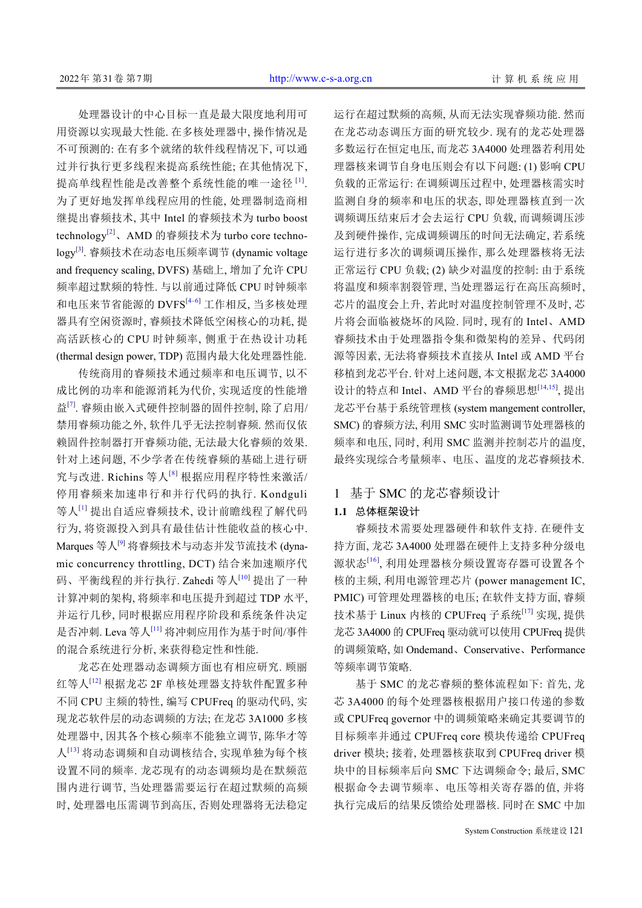处理器设计的中心目标一直是最大限度地利用可 用资源以实现最大性能. 在多核处理器中, 操作情况是 不可预测的: 在有多个就绪的软件线程情况下, 可以通 过并行执行更多线程来提高系统性能; 在其他情况下, 提高单线程性能是改善整个系统性能的唯一途径 [\[1](#page-7-0)] . 为了更好地发挥单线程应用的性能, 处理器制造商相 继提出睿频技术, 其中 Intel 的睿频技术为 turbo boost technology[\[2\]](#page-7-1)、AMD 的睿频技术为 turbo core techno-logy<sup>[\[3](#page-7-2)]</sup>. 睿频技术在动态电压频率调节 (dynamic voltage and frequency scaling, DVFS) 基础上, 增加了允许 CPU 频率超过默频的特性. 与以前通过降低 CPU 时钟频率 和电压来节省能源的 DVFS<sup>[4-[6](#page-7-4)]</sup> 工作相反, 当多核处理 器具有空闲资源时, 睿频技术降低空闲核心的功耗, 提 高活跃核心的 CPU 时钟频率, 侧重于在热设计功耗 (thermal design power, TDP) 范围内最大化处理器性能.

传统商用的睿频技术通过频率和电压调节, 以不 成比例的功率和能源消耗为代价, 实现适度的性能增 益<sup>[[7\]](#page-7-5)</sup>. 睿频由嵌入式硬件控制器的固件控制, 除了启用/ 禁用睿频功能之外, 软件几乎无法控制睿频. 然而仅依 赖固件控制器打开睿频功能, 无法最大化睿频的效果. 针对上述问题, 不少学者在传统睿频的基础上进行研 究与改进. Richins 等人[[8](#page-7-6)] 根据应用程序特性来激活/ 停用睿频来加速串行和并行代码的执行. Kondguli 等人[\[1](#page-7-0)] 提出自适应睿频技术, 设计前瞻线程了解代码 行为, 将资源投入到具有最佳估计性能收益的核心中. Marques 等人<sup>[\[9](#page-7-7)]</sup> 将睿频技术与动态并发节流技术 (dynamic concurrency throttling, DCT) 结合来加速顺序代 码、平衡线程的并行执行. Zahedi 等人<sup>[\[10\]](#page-7-8)</sup> 提出了一种 计算冲刺的架构, 将频率和电压提升到超过 TDP 水平, 并运行几秒, 同时根据应用程序阶段和系统条件决定 是否冲刺. Leva 等人<sup>[[11](#page-7-9)]</sup> 将冲刺应用作为基于时间/事件 的混合系统进行分析, 来获得稳定性和性能.

龙芯在处理器动态调频方面也有相应研究. 顾丽 红等人<sup>[[12\]](#page-7-10)</sup> 根据龙芯 2F 单核处理器支持软件配置多种 不同 CPU 主频的特性, 编写 CPUFreq 的驱动代码, 实 现龙芯软件层的动态调频的方法; 在龙芯 3A1000 多核 处理器中, 因其各个核心频率不能独立调节, 陈华才等 人[[13](#page-7-11)] 将动态调频和自动调核结合, 实现单独为每个核 设置不同的频率. 龙芯现有的动态调频均是在默频范 围内进行调节, 当处理器需要运行在超过默频的高频 时, 处理器电压需调节到高压, 否则处理器将无法稳定 运行在超过默频的高频, 从而无法实现睿频功能. 然而 在龙芯动态调压方面的研究较少. 现有的龙芯处理器 多数运行在恒定电压, 而龙芯 3A4000 处理器若利用处 理器核来调节自身电压则会有以下问题: (1) 影响 CPU 负载的正常运行: 在调频调压过程中, 处理器核需实时 监测自身的频率和电压的状态, 即处理器核直到一次 调频调压结束后才会去运行 CPU 负载, 而调频调压涉 及到硬件操作, 完成调频调压的时间无法确定, 若系统 运行进行多次的调频调压操作, 那么处理器核将无法 正常运行 CPU 负载; (2) 缺少对温度的控制: 由于系统 将温度和频率割裂管理, 当处理器运行在高压高频时, 芯片的温度会上升, 若此时对温度控制管理不及时, 芯 片将会面临被烧坏的风险. 同时, 现有的 Intel、AMD 睿频技术由于处理器指令集和微架构的差异、代码闭 源等因素, 无法将睿频技术直接从 Intel 或 AMD 平台 移植到龙芯平台. 针对上述问题, 本文根据龙芯 3A4000 设计的特点和 Intel、AMD 平台的睿频思想<sup>[[14](#page-7-12),[15](#page-7-13)]</sup>, 提出 龙芯平台基于系统管理核 (system mangement controller, SMC) 的睿频方法, 利用 SMC 实时监测调节处理器核的 频率和电压, 同时, 利用 SMC 监测并控制芯片的温度, 最终实现综合考量频率、电压、温度的龙芯睿频技术.

# 1 基于 SMC 的龙芯睿频设计

#### **1.1** 总体框架设计

睿频技术需要处理器硬件和软件支持. 在硬件支 持方面, 龙芯 3A4000 处理器在硬件上支持多种分级电 源状态[[16](#page-7-14)], 利用处理器核分频设置寄存器可设置各个 核的主频, 利用电源管理芯片 (power management IC, PMIC) 可管理处理器核的电压; 在软件支持方面, 睿频 技术基于 Linux 内核的 CPUFreq 子系统<sup>[[17](#page-7-15)]</sup> 实现, 提供 龙芯 3A4000 的 CPUFreq 驱动就可以使用 CPUFreq 提供 的调频策略, 如 Ondemand、Conservative、Performance 等频率调节策略.

基于 SMC 的龙芯睿频的整体流程如下: 首先, 龙 芯 3A4000 的每个处理器核根据用户接口传递的参数 或 CPUFreq governor 中的调频策略来确定其要调节的 目标频率并通过 CPUFreq core 模块传递给 CPUFreq driver 模块; 接着, 处理器核获取到 CPUFreq driver 模 块中的目标频率后向 SMC 下达调频命令; 最后, SMC 根据命令去调节频率、电压等相关寄存器的值, 并将 执行完成后的结果反馈给处理器核. 同时在 SMC 中加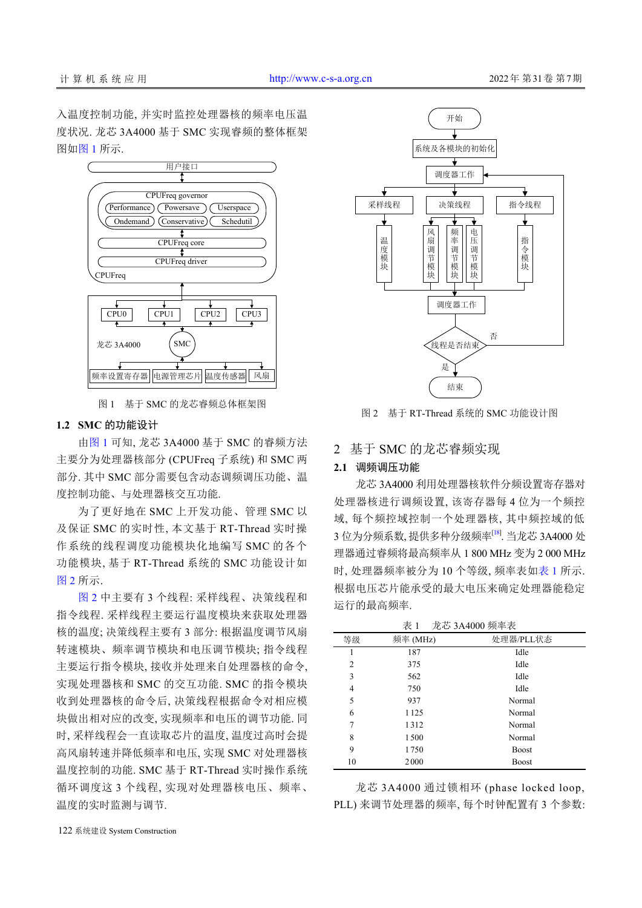入温度控制功能, 并实时监控处理器核的频率电压温 度状况. 龙芯 3A4000 基于 SMC 实现睿频的整体框架 图[如图](#page-2-0) [1](#page-2-0) 所示.



图 1 基于 SMC 的龙芯睿频总体框架图

#### <span id="page-2-0"></span>**1.2 SMC** 的功能设计

[由图](#page-2-0) [1](#page-2-0) 可知, 龙芯 3A4000 基于 SMC 的睿频方法 主要分为处理器核部分 (CPUFreq 子系统) 和 SMC 两 部分. 其中 SMC 部分需要包含动态调频调压功能、温 度控制功能、与处理器核交互功能.

为了更好地在 SMC 上开发功能、管理 SMC 以 及保证 SMC 的实时性, 本文基于 RT-Thread 实时操 作系统的线程调度功能模块化地编写 SMC 的各个 功能模块, 基于 RT-Thread 系统的 SMC 功能设计如 [图](#page-2-1) [2](#page-2-1) 所示.

[图](#page-2-1) [2](#page-2-1) 中主要有 3 个线程: 采样线程、决策线程和 指令线程. 采样线程主要运行温度模块来获取处理器 核的温度; 决策线程主要有 3 部分: 根据温度调节风扇 转速模块、频率调节模块和电压调节模块; 指令线程 主要运行指令模块, 接收并处理来自处理器核的命令, 实现处理器核和 SMC 的交互功能. SMC 的指令模块 收到处理器核的命令后, 决策线程根据命令对相应模 块做出相对应的改变, 实现频率和电压的调节功能. 同 时, 采样线程会一直读取芯片的温度, 温度过高时会提 高风扇转速并降低频率和电压, 实现 SMC 对处理器核 温度控制的功能. SMC 基于 RT-Thread 实时操作系统 循环调度这 3 个线程, 实现对处理器核电压、频率、 温度的实时监测与调节.



<span id="page-2-1"></span>图 2 基于 RT-Thread 系统的 SMC 功能设计图

## 2 基于 SMC 的龙芯睿频实现

## **2.1** 调频调压功能

龙芯 3A4000 利用处理器核软件分频设置寄存器对 处理器核进行调频设置, 该寄存器每 4 位为一个频控 域, 每个频控域控制一个处理器核, 其中频控域的低 3位为分频系数, 提供多种分级频率<sup>[\[18\]](#page-7-16)</sup>. 当龙芯 3A4000 处 理器通过睿频将最高频率从 1 800 MHz 变为 2 000 MHz 时, 处理器频率被分为 10 个等级, 频率表[如表](#page-2-2) [1](#page-2-2) 所示. 根据电压芯片能承受的最大电压来确定处理器能稳定 运行的最高频率.

<span id="page-2-2"></span>

|    | 表 1      | 龙芯 3A4000 频率表 |
|----|----------|---------------|
| 等级 | 频率 (MHz) | 处理器/PLL状态     |
|    | 187      | Idle          |
| 2  | 375      | Idle          |
| 3  | 562      | Idle          |
| 4  | 750      | Idle          |
| 5  | 937      | Normal        |
| 6  | 1125     | Normal        |
| 7  | 1312     | Normal        |
| 8  | 1500     | Normal        |
| 9  | 1750     | <b>Boost</b>  |
| 10 | 2000     | Boost         |

龙芯 3A4000 通过锁相环 (phase locked loop, PLL) 来调节处理器的频率, 每个时钟配置有 3 个参数: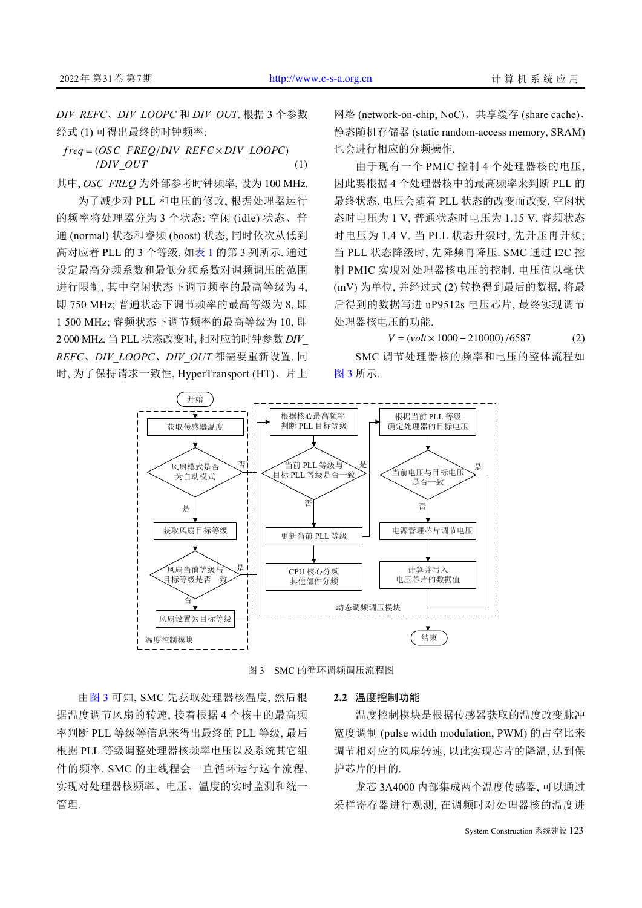*DIV\_REFC*、*DIV\_LOOPC* 和 *DIV\_OUT*. 根据 3 个参数 经式 (1) 可得出最终的时钟频率:

*f req* = (*OSC*\_*FREQ*/*DIV*\_*REFC* × *DIV*\_*LOOPC*) /*DIV*\_*OUT* (1)

其中, *OSC\_FREQ* 为外部参考时钟频率, 设为 100 MHz. 为了减少对 PLL 和电压的修改, 根据处理器运行 的频率将处理器分为 3 个状态: 空闲 (idle) 状态、普 通 (normal) 状态和睿频 (boost) 状态, 同时依次从低到 高对应着 PLL 的 3 个等级, [如表](#page-2-2) [1](#page-2-2) 的第 3 列所示. 通过 设定最高分频系数和最低分频系数对调频调压的范围 进行限制, 其中空闲状态下调节频率的最高等级为 4, 即 750 MHz; 普通状态下调节频率的最高等级为 8, 即 1 500 MHz; 睿频状态下调节频率的最高等级为 10, 即 2 000 MHz. 当 PLL 状态改变时, 相对应的时钟参数 *DIV\_ REFC*、*DIV\_LOOPC*、*DIV\_OUT* 都需要重新设置. 同 时, 为了保持请求一致性, HyperTransport (HT)、片上

网络 (network-on-chip, NoC)、共享缓存 (share cache)、 静态随机存储器 (static random-access memory, SRAM) 也会进行相应的分频操作.

由于现有一个 PMIC 控制 4 个处理器核的电压, 因此要根据 4 个处理器核中的最高频率来判断 PLL 的 最终状态. 电压会随着 PLL 状态的改变而改变, 空闲状 态时电压为 1 V, 普通状态时电压为 1.15 V, 睿频状态 时电压为 1.4 V. 当 PLL 状态升级时, 先升压再升频; 当 PLL 状态降级时, 先降频再降压. SMC 通过 I2C 控 制 PMIC 实现对处理器核电压的控制. 电压值以毫伏 (mV) 为单位, 并经过式 (2) 转换得到最后的数据, 将最 后得到的数据写进 uP9512s 电压芯片, 最终实现调节 处理器核电压的功能.

*V* = (*volt* × 1000 − 210000) /6587 (2) SMC 调节处理器核的频率和电压的整体流程如 [图](#page-3-0) [3](#page-3-0) 所示.



图 3 SMC 的循环调频调压流程图

<span id="page-3-0"></span>由[图](#page-3-0) [3](#page-3-0) 可知, SMC 先获取处理器核温度, 然后根 据温度调节风扇的转速, 接着根据 4 个核中的最高频 率判断 PLL 等级等信息来得出最终的 PLL 等级, 最后 根据 PLL 等级调整处理器核频率电压以及系统其它组 件的频率. SMC 的主线程会一直循环运行这个流程, 实现对处理器核频率、电压、温度的实时监测和统一 管理.

#### **2.2** 温度控制功能

温度控制模块是根据传感器获取的温度改变脉冲 宽度调制 (pulse width modulation, PWM) 的占空比来 调节相对应的风扇转速, 以此实现芯片的降温, 达到保 护芯片的目的.

龙芯 3A4000 内部集成两个温度传感器, 可以通过 采样寄存器进行观测, 在调频时对处理器核的温度进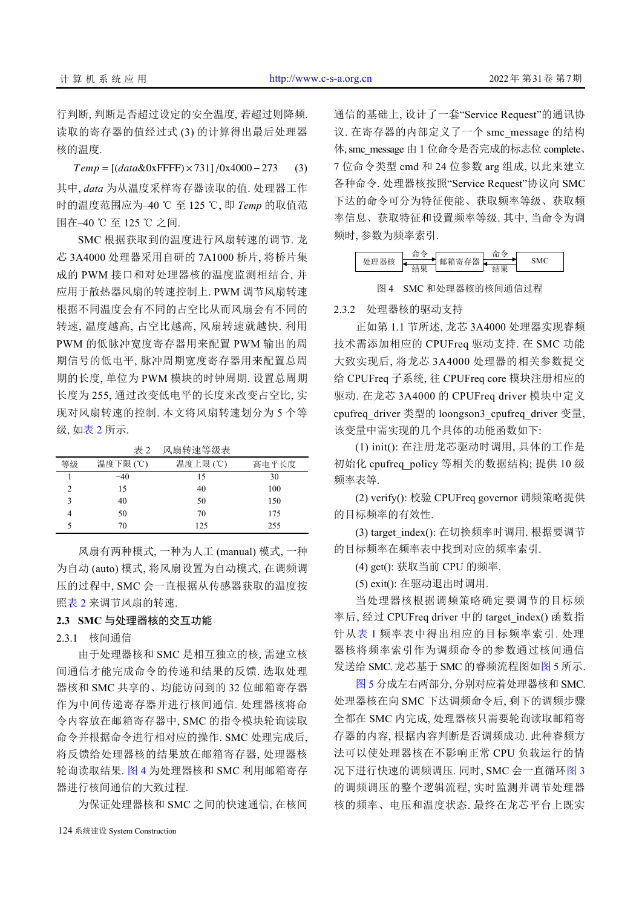行判断, 判断是否超过设定的安全温度, 若超过则降频. 读取的寄存器的值经过式 (3) 的计算得出最后处理器 核的温度.

*T emp* = [(*data*&0xFFFF)×731] /0x4000−273 (3) 其中, *data* 为从温度采样寄存器读取的值. 处理器工作 时的温度范围应为–40 ℃ 至 125 ℃, 即 *Temp* 的取值范 围在–40 ℃ 至 125 ℃ 之间.

SMC 根据获取到的温度进行风扇转速的调节. 龙 芯 3A4000 处理器采用自研的 7A1000 桥片, 将桥片集 成的 PWM 接口和对处理器核的温度监测相结合, 并 应用于散热器风扇的转速控制上. PWM 调节风扇转速 根据不同温度会有不同的占空比从而风扇会有不同的 转速, 温度越高, 占空比越高, 风扇转速就越快. 利用 PWM 的低脉冲宽度寄存器用来配置 PWM 输出的周 期信号的低电平, 脉冲周期宽度寄存器用来配置总周 期的长度, 单位为 PWM 模块的时钟周期. 设置总周期 长度为 255, 通过改变低电平的长度来改变占空比, 实 现对风扇转速的控制. 本文将风扇转速划分为 5 个等 级, [如表](#page-4-0) [2](#page-4-0) 所示.

<span id="page-4-0"></span>表 2 风扇转速等级表

| 等级 | 温度下限(℃) | 温度上限 (℃) | 高电平长度 |
|----|---------|----------|-------|
|    | $-40$   | 15       | 30    |
| 2  | 15      | 40       | 100   |
| ٦  | 40      | 50       | 150   |
|    | 50      | 70       | 175   |
|    | 70      | 125      | 255   |
|    |         |          |       |

风扇有两种模式, 一种为人工 (manual) 模式, 一种 为自动 (auto) 模式, 将风扇设置为自动模式, 在调频调 压的过程中, SMC 会一直根据从传感器获取的温度按 [照表](#page-4-0) [2](#page-4-0) 来调节风扇的转速.

## **2.3 SMC** 与处理器核的交互功能

2.3.1 核间通信

由于处理器核和 SMC 是相互独立的核, 需建立核 间通信才能完成命令的传递和结果的反馈. 选取处理 器核和 SMC 共享的、均能访问到的 32 位邮箱寄存器 作为中间传递寄存器并进行核间通信. 处理器核将命 令内容放在邮箱寄存器中, SMC 的指令模块轮询读取 命令并根据命令进行相对应的操作. SMC 处理完成后, 将反馈给处理器核的结果放在邮箱寄存器, 处理器核 轮询读取结果. [图](#page-4-1) [4](#page-4-1) 为处理器核和 SMC 利用邮箱寄存 器进行核间通信的大致过程.

为保证处理器核和 SMC 之间的快速通信, 在核间

通信的基础上, 设计了一套"Service Request"的通讯协 议. 在寄存器的内部定义了一个 smc\_message 的结构 体, smc\_message 由 1 位命令是否完成的标志位 complete、 7 位命令类型 cmd 和 24 位参数 arg 组成, 以此来建立 各种命令. 处理器核按照"Service Request"协议向 SMC 下达的命令可分为特征使能、获取频率等级、获取频 率信息、获取特征和设置频率等级. 其中, 当命令为调 频时, 参数为频率索引.

<span id="page-4-1"></span>

图 4 SMC 和处理器核的核间通信过程

#### 2.3.2 处理器核的驱动支持

正如第 1.1 节所述, 龙芯 3A4000 处理器实现睿频 技术需添加相应的 CPUFreq 驱动支持. 在 SMC 功能 大致实现后, 将龙芯 3A4000 处理器的相关参数提交 给 CPUFreq 子系统, 往 CPUFreq core 模块注册相应的 驱动. 在龙芯 3A4000 的 CPUFreq driver 模块中定义 cpufreq\_driver 类型的 loongson3\_cpufreq\_driver 变量, 该变量中需实现的几个具体的功能函数如下:

(1) init(): 在注册龙芯驱动时调用, 具体的工作是 初始化 cpufreq\_policy 等相关的数据结构; 提供 10 级 频率表等.

(2) verify(): 校验 CPUFreq governor 调频策略提供 的目标频率的有效性.

(3) target\_index(): 在切换频率时调用. 根据要调节 的目标频率在频率表中找到对应的频率索引.

(4) get(): 获取当前 CPU 的频率.

(5) exit(): 在驱动退出时调用.

当处理器核根据调频策略确定要调节的目标频 率后, 经过 CPUFreq driver 中的 target\_index() 函数指 针从[表](#page-2-2) [1](#page-2-2) 频率表中得出相应的目标频率索引. 处理 器核将频率索引作为调频命令的参数通过核间通信 发送给 SMC. 龙芯基于 SMC 的睿频流程图[如图](#page-5-0) [5](#page-5-0) 所示.

[图](#page-5-0) [5](#page-5-0) 分成左右两部分, 分别对应着处理器核和 SMC. 处理器核在向 SMC 下达调频命令后, 剩下的调频步骤 全都在 SMC 内完成, 处理器核只需要轮询读取邮箱寄 存器的内容, 根据内容判断是否调频成功. 此种睿频方 法可以使处理器核在不影响正常 CPU 负载运行的情 况下进行快速的调频调压. 同时, SMC 会一直循[环图](#page-3-0) [3](#page-3-0) 的调频调压的整个逻辑流程, 实时监测并调节处理器 核的频率、电压和温度状态. 最终在龙芯平台上既实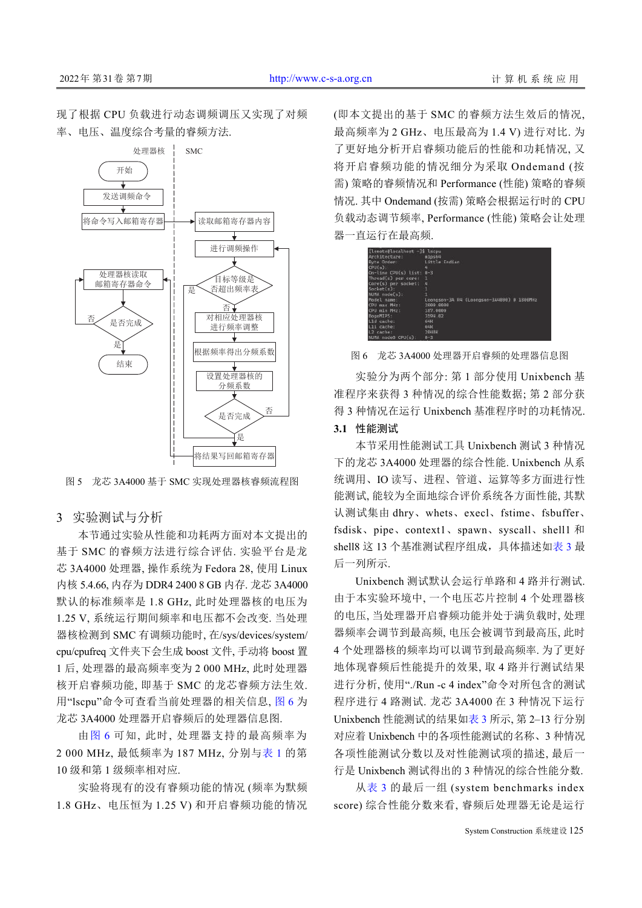现了根据 CPU 负载进行动态调频调压又实现了对频 率、电压、温度综合考量的睿频方法.



<span id="page-5-0"></span>图 5 龙芯 3A4000 基于 SMC 实现处理器核睿频流程图

## 3 实验测试与分析

本节通过实验从性能和功耗两方面对本文提出的 基于 SMC 的睿频方法进行综合评估. 实验平台是龙 芯 3A4000 处理器, 操作系统为 Fedora 28, 使用 Linux 内核 5.4.66, 内存为 DDR4 2400 8 GB 内存. 龙芯 3A4000 默认的标准频率是 1.8 GHz, 此时处理器核的电压为 1.25 V, 系统运行期间频率和电压都不会改变. 当处理 器核检测到 SMC 有调频功能时, 在/sys/devices/system/ cpu/cpufreq 文件夹下会生成 boost 文件, 手动将 boost 置 1 后, 处理器的最高频率变为 2 000 MHz, 此时处理器 核开启睿频功能, 即基于 SMC 的龙芯睿频方法生效. 用"lscpu"命令可查看当前处理器的相关信息, [图](#page-5-1) [6](#page-5-1) 为 龙芯 3A4000 处理器开启睿频后的处理器信息图.

由[图](#page-5-1) [6](#page-5-1) 可知, 此时, 处理器支持的最高频率为 2 000 MHz, 最低频率为 187 MHz, 分别与[表](#page-2-2) [1](#page-2-2) 的第 10 级和第 1 级频率相对应.

实验将现有的没有睿频功能的情况 (频率为默频 1.8 GHz、电压恒为 1.25 V) 和开启睿频功能的情况 (即本文提出的基于 SMC 的睿频方法生效后的情况, 最高频率为 2 GHz、电压最高为 1.4 V) 进行对比. 为 了更好地分析开启睿频功能后的性能和功耗情况, 又 将开启睿频功能的情况细分为采取 Ondemand (按 需) 策略的睿频情况和 Performance (性能) 策略的睿频 情况. 其中 Ondemand (按需) 策略会根据运行时的 CPU 负载动态调节频率, Performance (性能) 策略会让处理 器一直运行在最高频.



<span id="page-5-1"></span>图 6 龙芯 3A4000 处理器开启睿频的处理器信息图

实验分为两个部分: 第 1 部分使用 Unixbench 基 准程序来获得 3 种情况的综合性能数据; 第 2 部分获 得 3 种情况在运行 Unixbench 基准程序时的功耗情况.

#### **3.1** 性能测试

本节采用性能测试工具 Unixbench 测试 3 种情况 下的龙芯 3A4000 处理器的综合性能. Unixbench 从系 统调用、IO 读写、进程、管道、运算等多方面进行性 能测试, 能较为全面地综合评价系统各方面性能, 其默 认测试集由 dhry、whets、execl、fstime、fsbuffer、 fsdisk、pipe、context1、spawn、syscall、shell1 和 shell8 这 13 个基准测试程序组成, 具体描述如[表](#page-6-0) [3](#page-6-0) 最 后一列所示.

Unixbench 测试默认会运行单路和 4 路并行测试. 由于本实验环境中, 一个电压芯片控制 4 个处理器核 的电压, 当处理器开启睿频功能并处于满负载时, 处理 器频率会调节到最高频, 电压会被调节到最高压, 此时 4 个处理器核的频率均可以调节到最高频率. 为了更好 地体现睿频后性能提升的效果, 取 4 路并行测试结果 进行分析, 使用"./Run -c 4 index"命令对所包含的测试 程序进行 4 路测试. 龙芯 3A4000 在 3 种情况下运行 Unixbench 性能测试的结果[如表](#page-6-0) [3](#page-6-0) 所示, 第 2–13 行分别 对应着 Unixbench 中的各项性能测试的名称、3 种情况 各项性能测试分数以及对性能测试项的描述, 最后一 行是 Unixbench 测试得出的 3 种情况的综合性能分数.

从[表](#page-6-0) [3](#page-6-0) 的最后一组 (system benchmarks index score) 综合性能分数来看, 睿频后处理器无论是运行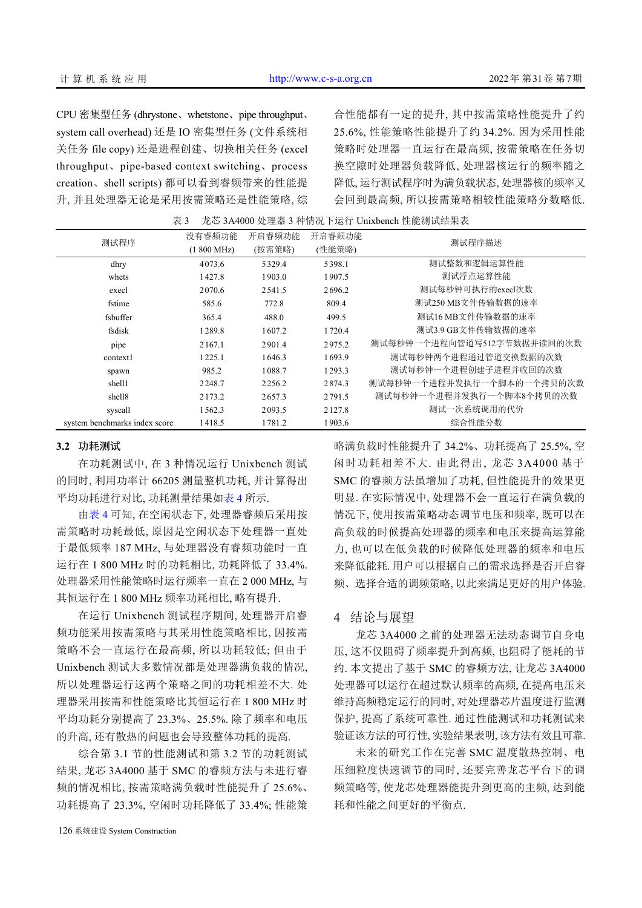CPU 密集型任务 (dhrystone、whetstone、pipe throughput、 system call overhead) 还是 IO 密集型任务 (文件系统相 关任务 file copy) 还是进程创建、切换相关任务 (excel throughput、pipe-based context switching、process creation、shell scripts) 都可以看到睿频带来的性能提 升, 并且处理器无论是采用按需策略还是性能策略, 综 合性能都有一定的提升, 其中按需策略性能提升了约 25.6%, 性能策略性能提升了约 34.2%. 因为采用性能 策略时处理器一直运行在最高频, 按需策略在任务切 换空隙时处理器负载降低, 处理器核运行的频率随之 降低, 运行测试程序时为满负载状态, 处理器核的频率又 会回到最高频, 所以按需策略相较性能策略分数略低.

<span id="page-6-0"></span>表 3 龙芯 3A4000 处理器 3 种情况下运行 Unixbench 性能测试结果表

|                               | 没有睿频功能               | 开启睿频功能 | 开启睿频功能 | 测试程序描述                     |
|-------------------------------|----------------------|--------|--------|----------------------------|
| 测试程序                          | $(1800 \text{ MHz})$ | (按需策略) | (性能策略) |                            |
| dhry                          | 4073.6               | 5329.4 | 5398.1 | 测试整数和逻辑运算性能                |
| whets                         | 1427.8               | 1903.0 | 1907.5 | 测试浮点运算性能                   |
| execl                         | 2070.6               | 2541.5 | 2696.2 | 测试每秒钟可执行的execl次数           |
| fstime                        | 585.6                | 772.8  | 809.4  | 测试250 MB文件传输数据的速率          |
| fsbuffer                      | 365.4                | 488.0  | 499.5  | 测试16 MB文件传输数据的速率           |
| fsdisk                        | 1289.8               | 1607.2 | 1720.4 | 测试3.9 GB文件传输数据的速率          |
| pipe                          | 2167.1               | 2901.4 | 2975.2 | 测试每秒钟一个讲程向管道写512字节数据并读回的次数 |
| context1                      | 1225.1               | 1646.3 | 1693.9 | 测试每秒钟两个讲程通过管道交换数据的次数       |
| spawn                         | 985.2                | 1088.7 | 1293.3 | 测试每秒钟一个讲程创建子讲程并收回的次数       |
| shell1                        | 2248.7               | 2256.2 | 2874.3 | 测试每秒钟一个进程并发执行一个脚本的一个拷贝的次数  |
| shell <sub>8</sub>            | 2173.2               | 2657.3 | 2791.5 | 测试每秒钟一个进程并发执行一个脚本8个拷贝的次数   |
| syscall                       | 1562.3               | 2093.5 | 2127.8 | 测试一次系统调用的代价                |
| system benchmarks index score | 1418.5               | 1781.2 | 1903.6 | 综合性能分数                     |

#### **3.2** 功耗测试

在功耗测试中, 在 3 种情况运行 Unixbench 测试 的同时, 利用功率计 66205 测量整机功耗, 并计算得出 平均功耗进行对比, 功耗测量结果[如表](#page-7-17) [4](#page-7-17) 所示.

[由表](#page-7-17) [4](#page-7-17) 可知, 在空闲状态下, 处理器睿频后采用按 需策略时功耗最低, 原因是空闲状态下处理器一直处 于最低频率 187 MHz, 与处理器没有睿频功能时一直 运行在 1 800 MHz 时的功耗相比, 功耗降低了 33.4%. 处理器采用性能策略时运行频率一直在 2 000 MHz, 与 其恒运行在 1 800 MHz 频率功耗相比, 略有提升.

在运行 Unixbench 测试程序期间, 处理器开启睿 频功能采用按需策略与其采用性能策略相比, 因按需 策略不会一直运行在最高频, 所以功耗较低; 但由于 Unixbench 测试大多数情况都是处理器满负载的情况, 所以处理器运行这两个策略之间的功耗相差不大. 处 理器采用按需和性能策略比其恒运行在 1 800 MHz 时 平均功耗分别提高了 23.3%、25.5%. 除了频率和电压 的升高, 还有散热的问题也会导致整体功耗的提高.

综合第 3.1 节的性能测试和第 3.2 节的功耗测试 结果, 龙芯 3A4000 基于 SMC 的睿频方法与未进行睿 频的情况相比, 按需策略满负载时性能提升了 25.6%、 功耗提高了 23.3%, 空闲时功耗降低了 33.4%; 性能策 略满负载时性能提升了 34.2%、功耗提高了 25.5%, 空 闲时功耗相差不大. 由此得出, 龙芯 3A4000 基于 SMC 的睿频方法虽增加了功耗, 但性能提升的效果更 明显. 在实际情况中, 处理器不会一直运行在满负载的 情况下, 使用按需策略动态调节电压和频率, 既可以在 高负载的时候提高处理器的频率和电压来提高运算能 力, 也可以在低负载的时候降低处理器的频率和电压 来降低能耗. 用户可以根据自己的需求选择是否开启睿 频、选择合适的调频策略, 以此来满足更好的用户体验.

## 4 结论与展望

龙芯 3A4000 之前的处理器无法动态调节自身电 压, 这不仅阻碍了频率提升到高频, 也阻碍了能耗的节 约. 本文提出了基于 SMC 的睿频方法, 让龙芯 3A4000 处理器可以运行在超过默认频率的高频, 在提高电压来 维持高频稳定运行的同时, 对处理器芯片温度进行监测 保护, 提高了系统可靠性. 通过性能测试和功耗测试来 验证该方法的可行性, 实验结果表明, 该方法有效且可靠.

未来的研究工作在完善 SMC 温度散热控制、电 压细粒度快速调节的同时, 还要完善龙芯平台下的调 频策略等, 使龙芯处理器能提升到更高的主频, 达到能 耗和性能之间更好的平衡点.